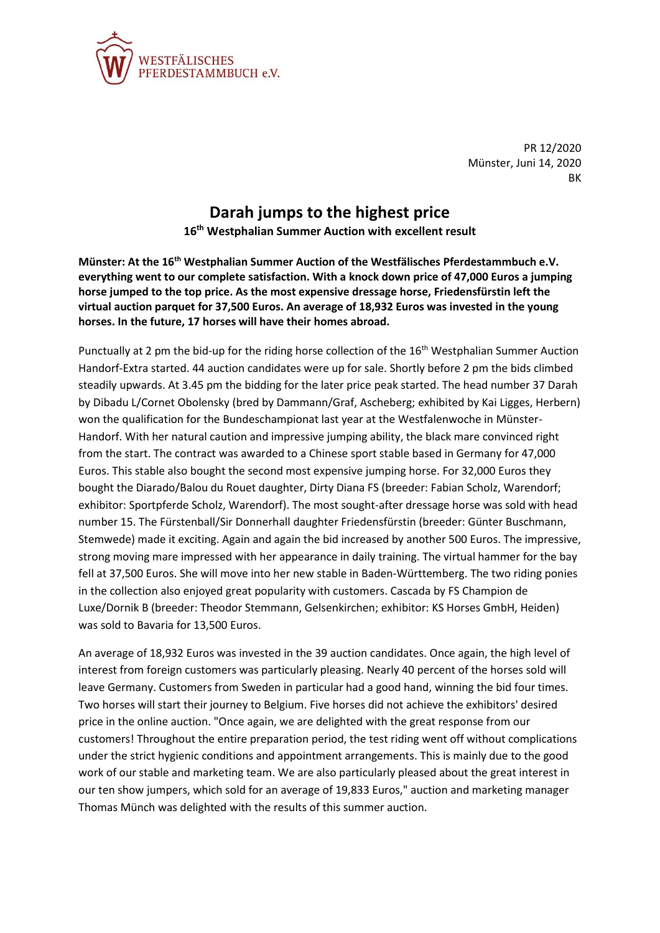

PR 12/2020 Münster, Juni 14, 2020 BK

## **Darah jumps to the highest price**

**16th Westphalian Summer Auction with excellent result**

**Münster: At the 16th Westphalian Summer Auction of the Westfälisches Pferdestammbuch e.V. everything went to our complete satisfaction. With a knock down price of 47,000 Euros a jumping horse jumped to the top price. As the most expensive dressage horse, Friedensfürstin left the virtual auction parquet for 37,500 Euros. An average of 18,932 Euros was invested in the young horses. In the future, 17 horses will have their homes abroad.**

Punctually at 2 pm the bid-up for the riding horse collection of the  $16<sup>th</sup>$  Westphalian Summer Auction Handorf-Extra started. 44 auction candidates were up for sale. Shortly before 2 pm the bids climbed steadily upwards. At 3.45 pm the bidding for the later price peak started. The head number 37 Darah by Dibadu L/Cornet Obolensky (bred by Dammann/Graf, Ascheberg; exhibited by Kai Ligges, Herbern) won the qualification for the Bundeschampionat last year at the Westfalenwoche in Münster-Handorf. With her natural caution and impressive jumping ability, the black mare convinced right from the start. The contract was awarded to a Chinese sport stable based in Germany for 47,000 Euros. This stable also bought the second most expensive jumping horse. For 32,000 Euros they bought the Diarado/Balou du Rouet daughter, Dirty Diana FS (breeder: Fabian Scholz, Warendorf; exhibitor: Sportpferde Scholz, Warendorf). The most sought-after dressage horse was sold with head number 15. The Fürstenball/Sir Donnerhall daughter Friedensfürstin (breeder: Günter Buschmann, Stemwede) made it exciting. Again and again the bid increased by another 500 Euros. The impressive, strong moving mare impressed with her appearance in daily training. The virtual hammer for the bay fell at 37,500 Euros. She will move into her new stable in Baden-Württemberg. The two riding ponies in the collection also enjoyed great popularity with customers. Cascada by FS Champion de Luxe/Dornik B (breeder: Theodor Stemmann, Gelsenkirchen; exhibitor: KS Horses GmbH, Heiden) was sold to Bavaria for 13,500 Euros.

An average of 18,932 Euros was invested in the 39 auction candidates. Once again, the high level of interest from foreign customers was particularly pleasing. Nearly 40 percent of the horses sold will leave Germany. Customers from Sweden in particular had a good hand, winning the bid four times. Two horses will start their journey to Belgium. Five horses did not achieve the exhibitors' desired price in the online auction. "Once again, we are delighted with the great response from our customers! Throughout the entire preparation period, the test riding went off without complications under the strict hygienic conditions and appointment arrangements. This is mainly due to the good work of our stable and marketing team. We are also particularly pleased about the great interest in our ten show jumpers, which sold for an average of 19,833 Euros," auction and marketing manager Thomas Münch was delighted with the results of this summer auction.